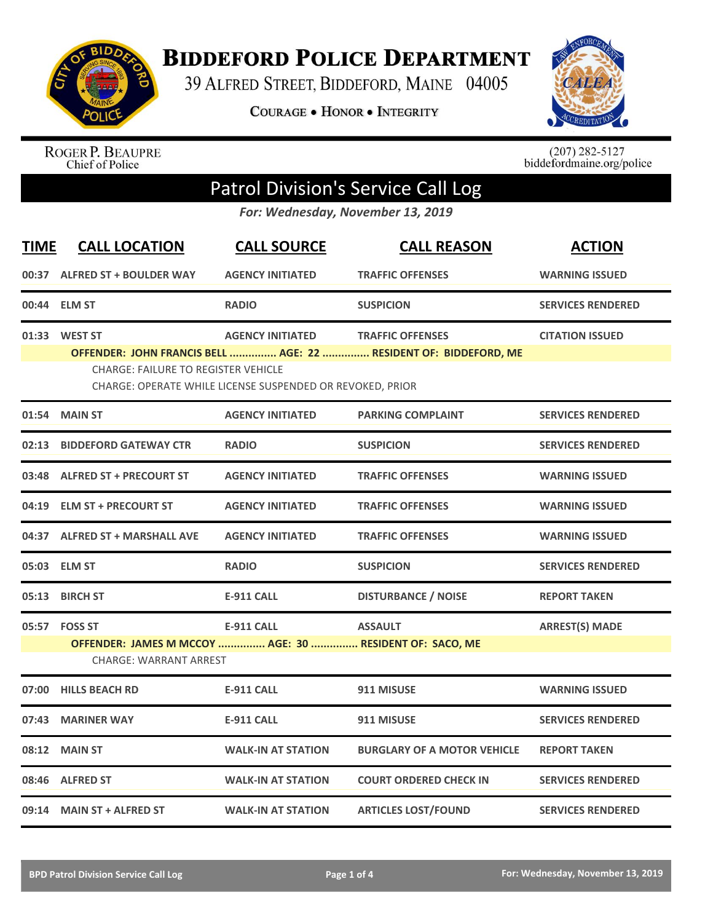

**BIDDEFORD POLICE DEPARTMENT** 

39 ALFRED STREET, BIDDEFORD, MAINE 04005

COURAGE . HONOR . INTEGRITY



ROGER P. BEAUPRE<br>Chief of Police

 $(207)$  282-5127<br>biddefordmaine.org/police

## Patrol Division's Service Call Log

*For: Wednesday, November 13, 2019*

| <b>TIME</b> | <b>CALL LOCATION</b>                                                                                      | <b>CALL SOURCE</b>        | <b>CALL REASON</b>                                                                          | <b>ACTION</b>            |  |  |
|-------------|-----------------------------------------------------------------------------------------------------------|---------------------------|---------------------------------------------------------------------------------------------|--------------------------|--|--|
|             | 00:37 ALFRED ST + BOULDER WAY                                                                             | <b>AGENCY INITIATED</b>   | <b>TRAFFIC OFFENSES</b>                                                                     | <b>WARNING ISSUED</b>    |  |  |
|             | 00:44 ELM ST                                                                                              | <b>RADIO</b>              | <b>SUSPICION</b>                                                                            | <b>SERVICES RENDERED</b> |  |  |
|             | 01:33 WEST ST<br><b>CHARGE: FAILURE TO REGISTER VEHICLE</b>                                               | <b>AGENCY INITIATED</b>   | <b>TRAFFIC OFFENSES</b><br>OFFENDER: JOHN FRANCIS BELL  AGE: 22  RESIDENT OF: BIDDEFORD, ME | <b>CITATION ISSUED</b>   |  |  |
|             | CHARGE: OPERATE WHILE LICENSE SUSPENDED OR REVOKED, PRIOR                                                 |                           |                                                                                             |                          |  |  |
|             | 01:54 MAIN ST                                                                                             | <b>AGENCY INITIATED</b>   | <b>PARKING COMPLAINT</b>                                                                    | <b>SERVICES RENDERED</b> |  |  |
| 02:13       | <b>BIDDEFORD GATEWAY CTR</b>                                                                              | <b>RADIO</b>              | <b>SUSPICION</b>                                                                            | <b>SERVICES RENDERED</b> |  |  |
|             | 03:48 ALFRED ST + PRECOURT ST                                                                             | <b>AGENCY INITIATED</b>   | <b>TRAFFIC OFFENSES</b>                                                                     | <b>WARNING ISSUED</b>    |  |  |
|             | 04:19 ELM ST + PRECOURT ST                                                                                | <b>AGENCY INITIATED</b>   | <b>TRAFFIC OFFENSES</b>                                                                     | <b>WARNING ISSUED</b>    |  |  |
|             | 04:37 ALFRED ST + MARSHALL AVE                                                                            | <b>AGENCY INITIATED</b>   | <b>TRAFFIC OFFENSES</b>                                                                     | <b>WARNING ISSUED</b>    |  |  |
| 05:03       | <b>ELM ST</b>                                                                                             | <b>RADIO</b>              | <b>SUSPICION</b>                                                                            | <b>SERVICES RENDERED</b> |  |  |
| 05:13       | <b>BIRCH ST</b>                                                                                           | <b>E-911 CALL</b>         | <b>DISTURBANCE / NOISE</b>                                                                  | <b>REPORT TAKEN</b>      |  |  |
|             | 05:57 FOSS ST<br>OFFENDER: JAMES M MCCOY  AGE: 30  RESIDENT OF: SACO, ME<br><b>CHARGE: WARRANT ARREST</b> | <b>E-911 CALL</b>         | <b>ASSAULT</b>                                                                              | <b>ARREST(S) MADE</b>    |  |  |
| 07:00       | <b>HILLS BEACH RD</b>                                                                                     | <b>E-911 CALL</b>         | 911 MISUSE                                                                                  | <b>WARNING ISSUED</b>    |  |  |
| 07:43       | <b>MARINER WAY</b>                                                                                        | <b>E-911 CALL</b>         | 911 MISUSE                                                                                  | <b>SERVICES RENDERED</b> |  |  |
| 08:12       | <b>MAIN ST</b>                                                                                            | <b>WALK-IN AT STATION</b> | <b>BURGLARY OF A MOTOR VEHICLE</b>                                                          | <b>REPORT TAKEN</b>      |  |  |
|             | 08:46 ALFRED ST                                                                                           | <b>WALK-IN AT STATION</b> | <b>COURT ORDERED CHECK IN</b>                                                               | <b>SERVICES RENDERED</b> |  |  |
|             | 09:14 MAIN ST + ALFRED ST                                                                                 | <b>WALK-IN AT STATION</b> | <b>ARTICLES LOST/FOUND</b>                                                                  | <b>SERVICES RENDERED</b> |  |  |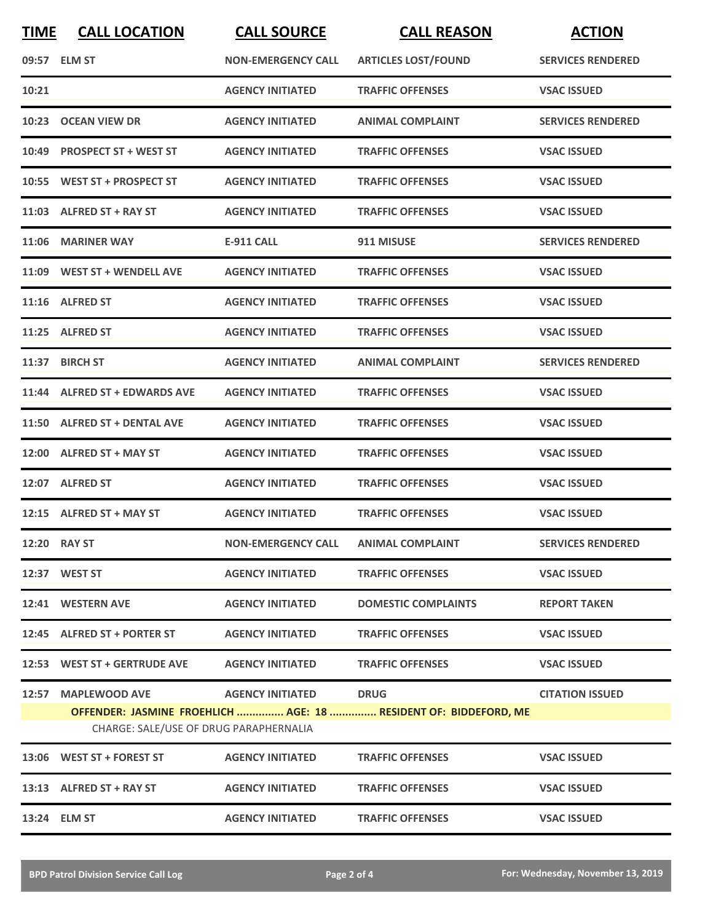| <b>TIME</b> | <b>CALL LOCATION</b>                                          | <b>CALL SOURCE</b>                  | <b>CALL REASON</b>                                                              | <b>ACTION</b>            |
|-------------|---------------------------------------------------------------|-------------------------------------|---------------------------------------------------------------------------------|--------------------------|
|             | 09:57 ELM ST                                                  | <b>NON-EMERGENCY CALL</b>           | <b>ARTICLES LOST/FOUND</b>                                                      | <b>SERVICES RENDERED</b> |
| 10:21       |                                                               | <b>AGENCY INITIATED</b>             | <b>TRAFFIC OFFENSES</b>                                                         | <b>VSAC ISSUED</b>       |
|             | 10:23 OCEAN VIEW DR                                           | <b>AGENCY INITIATED</b>             | <b>ANIMAL COMPLAINT</b>                                                         | <b>SERVICES RENDERED</b> |
|             | 10:49 PROSPECT ST + WEST ST                                   | <b>AGENCY INITIATED</b>             | <b>TRAFFIC OFFENSES</b>                                                         | <b>VSAC ISSUED</b>       |
|             | 10:55 WEST ST + PROSPECT ST                                   | <b>AGENCY INITIATED</b>             | <b>TRAFFIC OFFENSES</b>                                                         | <b>VSAC ISSUED</b>       |
|             | 11:03 ALFRED ST + RAY ST                                      | <b>AGENCY INITIATED</b>             | <b>TRAFFIC OFFENSES</b>                                                         | <b>VSAC ISSUED</b>       |
|             | 11:06 MARINER WAY                                             | <b>E-911 CALL</b>                   | 911 MISUSE                                                                      | <b>SERVICES RENDERED</b> |
|             | 11:09 WEST ST + WENDELL AVE                                   | <b>AGENCY INITIATED</b>             | <b>TRAFFIC OFFENSES</b>                                                         | <b>VSAC ISSUED</b>       |
|             | 11:16 ALFRED ST                                               | <b>AGENCY INITIATED</b>             | <b>TRAFFIC OFFENSES</b>                                                         | <b>VSAC ISSUED</b>       |
|             | 11:25 ALFRED ST                                               | <b>AGENCY INITIATED</b>             | <b>TRAFFIC OFFENSES</b>                                                         | <b>VSAC ISSUED</b>       |
|             | 11:37 BIRCH ST                                                | <b>AGENCY INITIATED</b>             | <b>ANIMAL COMPLAINT</b>                                                         | <b>SERVICES RENDERED</b> |
|             | 11:44 ALFRED ST + EDWARDS AVE                                 | <b>AGENCY INITIATED</b>             | <b>TRAFFIC OFFENSES</b>                                                         | <b>VSAC ISSUED</b>       |
|             | 11:50 ALFRED ST + DENTAL AVE                                  | <b>AGENCY INITIATED</b>             | <b>TRAFFIC OFFENSES</b>                                                         | <b>VSAC ISSUED</b>       |
|             | 12:00 ALFRED ST + MAY ST                                      | <b>AGENCY INITIATED</b>             | <b>TRAFFIC OFFENSES</b>                                                         | <b>VSAC ISSUED</b>       |
|             | 12:07 ALFRED ST                                               | <b>AGENCY INITIATED</b>             | <b>TRAFFIC OFFENSES</b>                                                         | <b>VSAC ISSUED</b>       |
|             | 12:15 ALFRED ST + MAY ST                                      | <b>AGENCY INITIATED</b>             | <b>TRAFFIC OFFENSES</b>                                                         | <b>VSAC ISSUED</b>       |
|             | <b>12:20 RAY ST</b>                                           | NON-EMERGENCY CALL ANIMAL COMPLAINT |                                                                                 | <b>SERVICES RENDERED</b> |
|             | 12:37 WEST ST                                                 | <b>AGENCY INITIATED</b>             | <b>TRAFFIC OFFENSES</b>                                                         | <b>VSAC ISSUED</b>       |
|             | 12:41 WESTERN AVE                                             | <b>AGENCY INITIATED</b>             | <b>DOMESTIC COMPLAINTS</b>                                                      | <b>REPORT TAKEN</b>      |
|             | 12:45 ALFRED ST + PORTER ST                                   | <b>AGENCY INITIATED</b>             | <b>TRAFFIC OFFENSES</b>                                                         | <b>VSAC ISSUED</b>       |
|             | 12:53 WEST ST + GERTRUDE AVE                                  | <b>AGENCY INITIATED</b>             | <b>TRAFFIC OFFENSES</b>                                                         | <b>VSAC ISSUED</b>       |
|             | 12:57 MAPLEWOOD AVE<br>CHARGE: SALE/USE OF DRUG PARAPHERNALIA | <b>AGENCY INITIATED</b>             | <b>DRUG</b><br>OFFENDER: JASMINE FROEHLICH  AGE: 18  RESIDENT OF: BIDDEFORD, ME | <b>CITATION ISSUED</b>   |
|             | 13:06 WEST ST + FOREST ST                                     | <b>AGENCY INITIATED</b>             | <b>TRAFFIC OFFENSES</b>                                                         | <b>VSAC ISSUED</b>       |
|             | 13:13 ALFRED ST + RAY ST                                      | <b>AGENCY INITIATED</b>             | <b>TRAFFIC OFFENSES</b>                                                         | <b>VSAC ISSUED</b>       |
|             | 13:24 ELM ST                                                  | <b>AGENCY INITIATED</b>             | <b>TRAFFIC OFFENSES</b>                                                         | <b>VSAC ISSUED</b>       |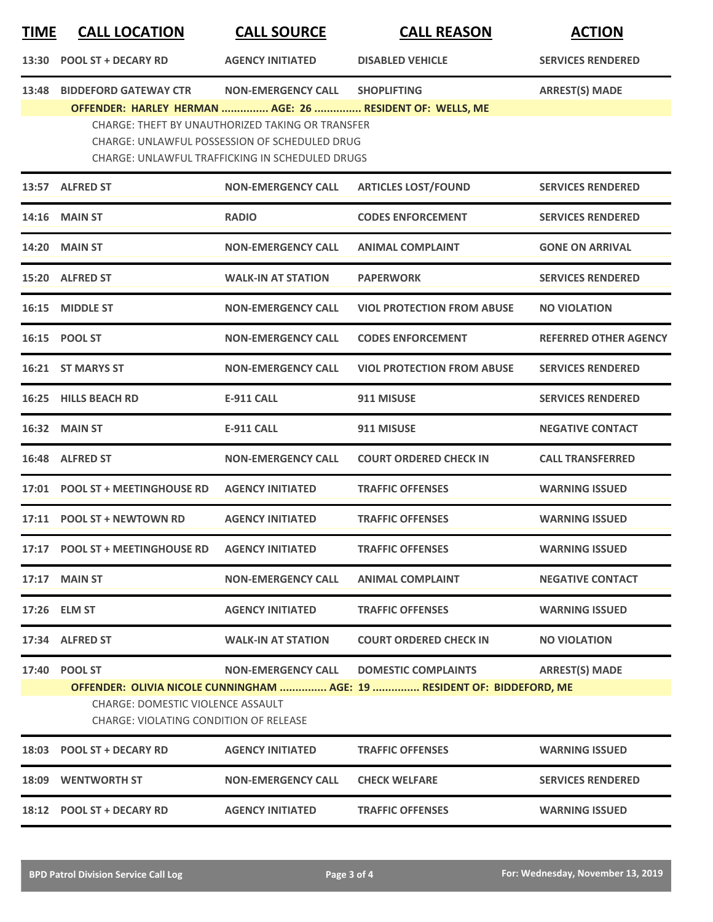| <b>TIME</b> | <b>CALL LOCATION</b>                                                                                       | <b>CALL SOURCE</b>                                                                                                                                          | <b>CALL REASON</b>                                                                                    | <b>ACTION</b>                |
|-------------|------------------------------------------------------------------------------------------------------------|-------------------------------------------------------------------------------------------------------------------------------------------------------------|-------------------------------------------------------------------------------------------------------|------------------------------|
| 13:30       | <b>POOL ST + DECARY RD</b>                                                                                 | <b>AGENCY INITIATED</b>                                                                                                                                     | <b>DISABLED VEHICLE</b>                                                                               | <b>SERVICES RENDERED</b>     |
| 13:48       | <b>BIDDEFORD GATEWAY CTR</b>                                                                               | <b>NON-EMERGENCY CALL</b>                                                                                                                                   | <b>SHOPLIFTING</b>                                                                                    | <b>ARREST(S) MADE</b>        |
|             | OFFENDER: HARLEY HERMAN  AGE: 26  RESIDENT OF: WELLS, ME                                                   | <b>CHARGE: THEFT BY UNAUTHORIZED TAKING OR TRANSFER</b><br>CHARGE: UNLAWFUL POSSESSION OF SCHEDULED DRUG<br>CHARGE: UNLAWFUL TRAFFICKING IN SCHEDULED DRUGS |                                                                                                       |                              |
|             | 13:57 ALFRED ST                                                                                            | <b>NON-EMERGENCY CALL</b>                                                                                                                                   | <b>ARTICLES LOST/FOUND</b>                                                                            | <b>SERVICES RENDERED</b>     |
|             | <b>14:16 MAIN ST</b>                                                                                       | <b>RADIO</b>                                                                                                                                                | <b>CODES ENFORCEMENT</b>                                                                              | <b>SERVICES RENDERED</b>     |
| 14:20       | <b>MAIN ST</b>                                                                                             | <b>NON-EMERGENCY CALL</b>                                                                                                                                   | <b>ANIMAL COMPLAINT</b>                                                                               | <b>GONE ON ARRIVAL</b>       |
| 15:20       | <b>ALFRED ST</b>                                                                                           | <b>WALK-IN AT STATION</b>                                                                                                                                   | <b>PAPERWORK</b>                                                                                      | <b>SERVICES RENDERED</b>     |
|             | 16:15 MIDDLE ST                                                                                            | <b>NON-EMERGENCY CALL</b>                                                                                                                                   | <b>VIOL PROTECTION FROM ABUSE</b>                                                                     | <b>NO VIOLATION</b>          |
|             | 16:15 POOL ST                                                                                              | <b>NON-EMERGENCY CALL</b>                                                                                                                                   | <b>CODES ENFORCEMENT</b>                                                                              | <b>REFERRED OTHER AGENCY</b> |
|             | 16:21 ST MARYS ST                                                                                          | <b>NON-EMERGENCY CALL</b>                                                                                                                                   | <b>VIOL PROTECTION FROM ABUSE</b>                                                                     | <b>SERVICES RENDERED</b>     |
| 16:25       | <b>HILLS BEACH RD</b>                                                                                      | <b>E-911 CALL</b>                                                                                                                                           | 911 MISUSE                                                                                            | <b>SERVICES RENDERED</b>     |
|             | 16:32 MAIN ST                                                                                              | <b>E-911 CALL</b>                                                                                                                                           | 911 MISUSE                                                                                            | <b>NEGATIVE CONTACT</b>      |
| 16:48       | <b>ALFRED ST</b>                                                                                           | <b>NON-EMERGENCY CALL</b>                                                                                                                                   | <b>COURT ORDERED CHECK IN</b>                                                                         | <b>CALL TRANSFERRED</b>      |
|             | 17:01 POOL ST + MEETINGHOUSE RD                                                                            | <b>AGENCY INITIATED</b>                                                                                                                                     | <b>TRAFFIC OFFENSES</b>                                                                               | <b>WARNING ISSUED</b>        |
|             | 17:11 POOL ST + NEWTOWN RD                                                                                 | <b>AGENCY INITIATED</b>                                                                                                                                     | <b>TRAFFIC OFFENSES</b>                                                                               | <b>WARNING ISSUED</b>        |
|             | 17:17 POOL ST + MEETINGHOUSE RD                                                                            | <b>AGENCY INITIATED</b>                                                                                                                                     | <b>TRAFFIC OFFENSES</b>                                                                               | <b>WARNING ISSUED</b>        |
|             | 17:17 MAIN ST                                                                                              | <b>NON-EMERGENCY CALL</b>                                                                                                                                   | <b>ANIMAL COMPLAINT</b>                                                                               | <b>NEGATIVE CONTACT</b>      |
|             | 17:26 ELM ST                                                                                               | <b>AGENCY INITIATED</b>                                                                                                                                     | <b>TRAFFIC OFFENSES</b>                                                                               | <b>WARNING ISSUED</b>        |
|             | 17:34 ALFRED ST                                                                                            | <b>WALK-IN AT STATION</b>                                                                                                                                   | <b>COURT ORDERED CHECK IN</b>                                                                         | <b>NO VIOLATION</b>          |
|             | 17:40 POOL ST<br><b>CHARGE: DOMESTIC VIOLENCE ASSAULT</b><br><b>CHARGE: VIOLATING CONDITION OF RELEASE</b> | <b>NON-EMERGENCY CALL</b>                                                                                                                                   | <b>DOMESTIC COMPLAINTS</b><br>OFFENDER: OLIVIA NICOLE CUNNINGHAM  AGE: 19  RESIDENT OF: BIDDEFORD, ME | <b>ARREST(S) MADE</b>        |
|             | 18:03 POOL ST + DECARY RD                                                                                  | <b>AGENCY INITIATED</b>                                                                                                                                     | <b>TRAFFIC OFFENSES</b>                                                                               | <b>WARNING ISSUED</b>        |
|             | <b>18:09 WENTWORTH ST</b>                                                                                  | <b>NON-EMERGENCY CALL</b>                                                                                                                                   | <b>CHECK WELFARE</b>                                                                                  | <b>SERVICES RENDERED</b>     |
|             | 18:12 POOL ST + DECARY RD                                                                                  | <b>AGENCY INITIATED</b>                                                                                                                                     | <b>TRAFFIC OFFENSES</b>                                                                               | <b>WARNING ISSUED</b>        |